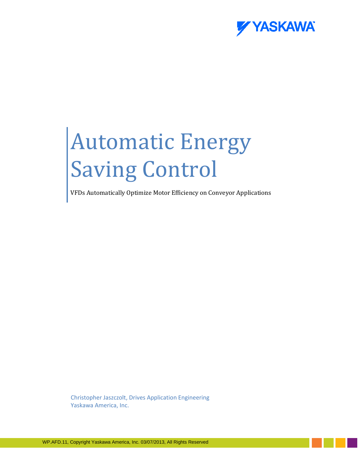

## Automatic Energy Saving Control

VFDs Automatically Optimize Motor Efficiency on Conveyor Applications

Christopher Jaszczolt, Drives Application Engineering Yaskawa America, Inc.

WP.AFD.11, Copyright Yaskawa America, Inc. 03/07/2013, All Rights Reserved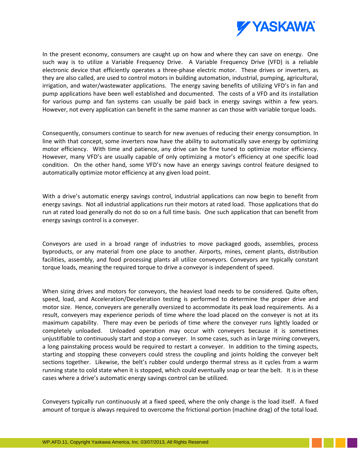

In the present economy, consumers are caught up on how and where they can save on energy. One such way is to utilize a Variable Frequency Drive. A Variable Frequency Drive (VFD) is a reliable electronic device that efficiently operates a three-phase electric motor. These drives or inverters, as they are also called, are used to control motors in building automation, industrial, pumping, agricultural, irrigation, and water/wastewater applications. The energy saving benefits of utilizing VFD's in fan and pump applications have been well established and documented. The costs of a VFD and its installation for various pump and fan systems can usually be paid back in energy savings within a few years. However, not every application can benefit in the same manner as can those with variable torque loads.

Consequently, consumers continue to search for new avenues of reducing their energy consumption. In line with that concept, some inverters now have the ability to automatically save energy by optimizing motor efficiency. With time and patience, any drive can be fine tuned to optimize motor efficiency. However, many VFD's are usually capable of only optimizing a motor's efficiency at one specific load condition. On the other hand, some VFD's now have an energy savings control feature designed to automatically optimize motor efficiency at any given load point.

With a drive's automatic energy savings control, industrial applications can now begin to benefit from energy savings. Not all industrial applications run their motors at rated load. Those applications that do run at rated load generally do not do so on a full time basis. One such application that can benefit from energy savings control is a conveyer.

Conveyors are used in a broad range of industries to move packaged goods, assemblies, process byproducts, or any material from one place to another. Airports, mines, cement plants, distribution facilities, assembly, and food processing plants all utilize conveyors. Conveyors are typically constant torque loads, meaning the required torque to drive a conveyor is independent of speed.

When sizing drives and motors for conveyors, the heaviest load needs to be considered. Quite often, speed, load, and Acceleration/Deceleration testing is performed to determine the proper drive and motor size. Hence, conveyers are generally oversized to accommodate its peak load requirements. As a result, conveyers may experience periods of time where the load placed on the conveyer is not at its maximum capability. There may even be periods of time where the conveyer runs lightly loaded or completely unloaded. Unloaded operation may occur with conveyers because it is sometimes unjustifiable to continuously start and stop a conveyer. In some cases, such as in large mining conveyers, a long painstaking process would be required to restart a conveyer. In addition to the timing aspects, starting and stopping these conveyers could stress the coupling and joints holding the conveyer belt sections together. Likewise, the belt's rubber could undergo thermal stress as it cycles from a warm running state to cold state when it is stopped, which could eventually snap or tear the belt. It is in these cases where a drive's automatic energy savings control can be utilized.

Conveyers typically run continuously at a fixed speed, where the only change is the load itself. A fixed amount of torque is always required to overcome the frictional portion (machine drag) of the total load.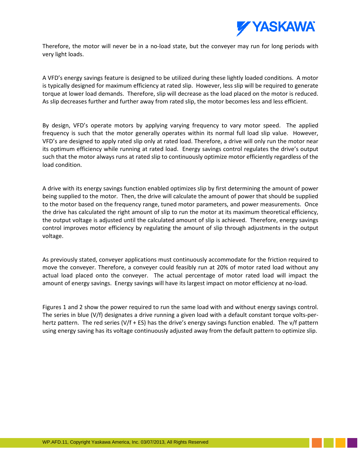

Therefore, the motor will never be in a no-load state, but the conveyer may run for long periods with very light loads.

A VFD's energy savings feature is designed to be utilized during these lightly loaded conditions. A motor is typically designed for maximum efficiency at rated slip. However, less slip will be required to generate torque at lower load demands. Therefore, slip will decrease as the load placed on the motor is reduced. As slip decreases further and further away from rated slip, the motor becomes less and less efficient.

By design, VFD's operate motors by applying varying frequency to vary motor speed. The applied frequency is such that the motor generally operates within its normal full load slip value. However, VFD's are designed to apply rated slip only at rated load. Therefore, a drive will only run the motor near its optimum efficiency while running at rated load. Energy savings control regulates the drive's output such that the motor always runs at rated slip to continuously optimize motor efficiently regardless of the load condition.

A drive with its energy savings function enabled optimizes slip by first determining the amount of power being supplied to the motor. Then, the drive will calculate the amount of power that should be supplied to the motor based on the frequency range, tuned motor parameters, and power measurements. Once the drive has calculated the right amount of slip to run the motor at its maximum theoretical efficiency, the output voltage is adjusted until the calculated amount of slip is achieved. Therefore, energy savings control improves motor efficiency by regulating the amount of slip through adjustments in the output voltage.

As previously stated, conveyer applications must continuously accommodate for the friction required to move the conveyer. Therefore, a conveyer could feasibly run at 20% of motor rated load without any actual load placed onto the conveyer. The actual percentage of motor rated load will impact the amount of energy savings. Energy savings will have its largest impact on motor efficiency at no-load.

Figures 1 and 2 show the power required to run the same load with and without energy savings control. The series in blue (V/f) designates a drive running a given load with a default constant torque volts-perhertz pattern. The red series (V/f + ES) has the drive's energy savings function enabled. The v/f pattern using energy saving has its voltage continuously adjusted away from the default pattern to optimize slip.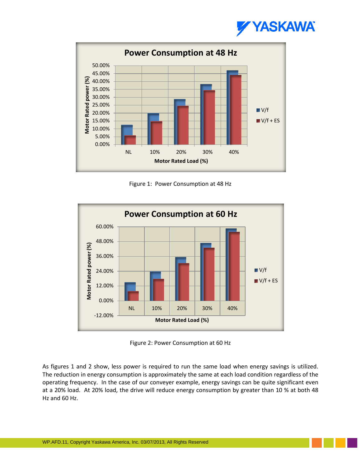



Figure 1: Power Consumption at 48 Hz



Figure 2: Power Consumption at 60 Hz

As figures 1 and 2 show, less power is required to run the same load when energy savings is utilized. The reduction in energy consumption is approximately the same at each load condition regardless of the operating frequency. In the case of our conveyer example, energy savings can be quite significant even at a 20% load. At 20% load, the drive will reduce energy consumption by greater than 10 % at both 48 Hz and 60 Hz.